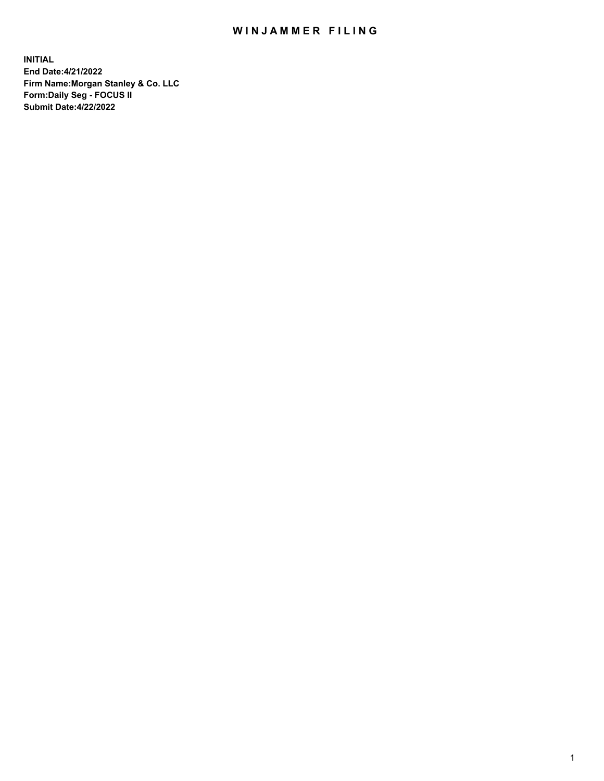## WIN JAMMER FILING

**INITIAL End Date:4/21/2022 Firm Name:Morgan Stanley & Co. LLC Form:Daily Seg - FOCUS II Submit Date:4/22/2022**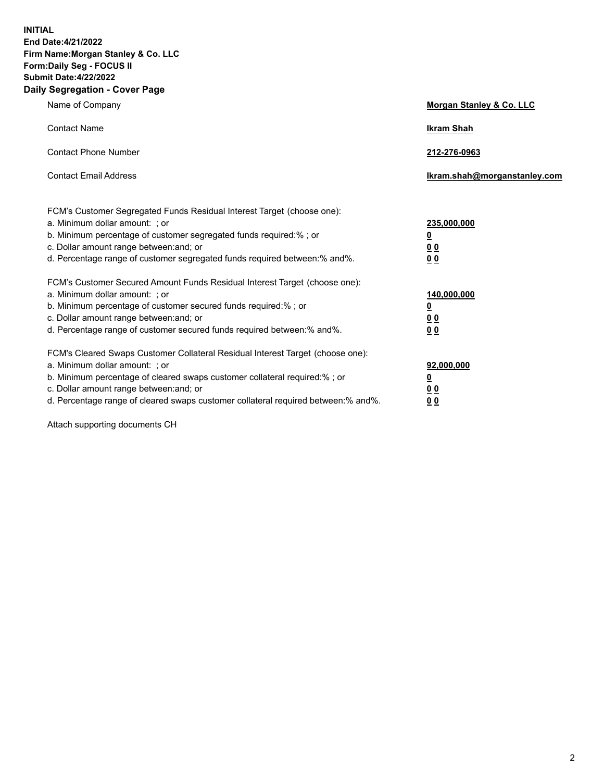**INITIAL End Date:4/21/2022 Firm Name:Morgan Stanley & Co. LLC Form:Daily Seg - FOCUS II Submit Date:4/22/2022 Daily Segregation - Cover Page**

| Name of Company                                                                                                                                                                                                                                                                                                                | Morgan Stanley & Co. LLC                               |
|--------------------------------------------------------------------------------------------------------------------------------------------------------------------------------------------------------------------------------------------------------------------------------------------------------------------------------|--------------------------------------------------------|
| <b>Contact Name</b>                                                                                                                                                                                                                                                                                                            | <b>Ikram Shah</b>                                      |
| <b>Contact Phone Number</b>                                                                                                                                                                                                                                                                                                    | 212-276-0963                                           |
| <b>Contact Email Address</b>                                                                                                                                                                                                                                                                                                   | Ikram.shah@morganstanley.com                           |
| FCM's Customer Segregated Funds Residual Interest Target (choose one):<br>a. Minimum dollar amount: ; or<br>b. Minimum percentage of customer segregated funds required:% ; or<br>c. Dollar amount range between: and; or<br>d. Percentage range of customer segregated funds required between:% and%.                         | 235,000,000<br><u>0</u><br>0 <sup>0</sup><br><u>00</u> |
| FCM's Customer Secured Amount Funds Residual Interest Target (choose one):<br>a. Minimum dollar amount: ; or<br>b. Minimum percentage of customer secured funds required:% ; or<br>c. Dollar amount range between: and; or<br>d. Percentage range of customer secured funds required between:% and%.                           | 140,000,000<br><u>0</u><br><u>00</u><br>00             |
| FCM's Cleared Swaps Customer Collateral Residual Interest Target (choose one):<br>a. Minimum dollar amount: ; or<br>b. Minimum percentage of cleared swaps customer collateral required:% ; or<br>c. Dollar amount range between: and; or<br>d. Percentage range of cleared swaps customer collateral required between:% and%. | 92,000,000<br><u>0</u><br><u>00</u><br>00              |

Attach supporting documents CH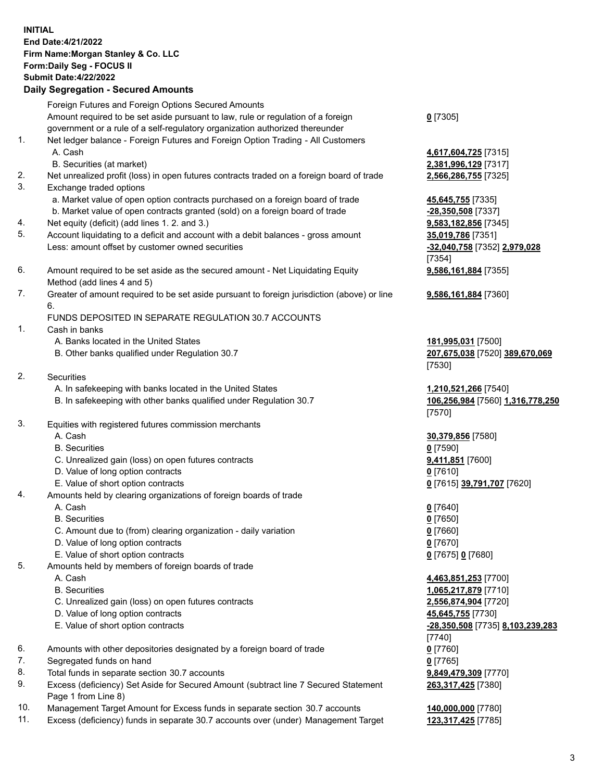## **INITIAL End Date:4/21/2022 Firm Name:Morgan Stanley & Co. LLC Form:Daily Seg - FOCUS II Submit Date:4/22/2022 Daily Segregation - Secured Amounts** Foreign Futures and Foreign Options Secured Amounts Amount required to be set aside pursuant to law, rule or regulation of a foreign government or a rule of a self-regulatory organization authorized thereunder 1. Net ledger balance - Foreign Futures and Foreign Option Trading - All Customers A. Cash **4,617,604,725** [7315] B. Securities (at market) **2,381,996,129** [7317] 2. Net unrealized profit (loss) in open futures contracts traded on a foreign board of trade **2,566,286,755** [7325] 3. Exchange traded options a. Market value of open option contracts purchased on a foreign board of trade **45,645,755** [7335] b. Market value of open contracts granted (sold) on a foreign board of trade **-28,350,508** [7337] 4. Net equity (deficit) (add lines 1. 2. and 3.) **9,583,182,856** [7345] 5. Account liquidating to a deficit and account with a debit balances - gross amount **35,019,786** [7351] Less: amount offset by customer owned securities **-32,040,758** [7352] **2,979,028** 6. Amount required to be set aside as the secured amount - Net Liquidating Equity Method (add lines 4 and 5) 7. Greater of amount required to be set aside pursuant to foreign jurisdiction (above) or line 6. FUNDS DEPOSITED IN SEPARATE REGULATION 30.7 ACCOUNTS

- 1. Cash in banks
	- A. Banks located in the United States **181,995,031** [7500]
	- B. Other banks qualified under Regulation 30.7 **207,675,038** [7520] **389,670,069**
- 2. Securities
	- A. In safekeeping with banks located in the United States **1,210,521,266** [7540]
	- B. In safekeeping with other banks qualified under Regulation 30.7 **106,256,984** [7560] **1,316,778,250**
- 3. Equities with registered futures commission merchants
	-
	- B. Securities **0** [7590]
	- C. Unrealized gain (loss) on open futures contracts **9,411,851** [7600]
	- D. Value of long option contracts **0** [7610]
	- E. Value of short option contracts **0** [7615] **39,791,707** [7620]
- 4. Amounts held by clearing organizations of foreign boards of trade
	-
	- B. Securities **0** [7650]
	- C. Amount due to (from) clearing organization daily variation **0** [7660]
	- D. Value of long option contracts **0** [7670]
	- E. Value of short option contracts **0** [7675] **0** [7680]
- 5. Amounts held by members of foreign boards of trade
	-
	-
	- C. Unrealized gain (loss) on open futures contracts **2,556,874,904** [7720]
	- D. Value of long option contracts **45,645,755** [7730]
	-
- 6. Amounts with other depositories designated by a foreign board of trade **0** [7760]
- 7. Segregated funds on hand **0** [7765]
- 8. Total funds in separate section 30.7 accounts **9,849,479,309** [7770]
- 9. Excess (deficiency) Set Aside for Secured Amount (subtract line 7 Secured Statement Page 1 from Line 8)
- 10. Management Target Amount for Excess funds in separate section 30.7 accounts **140,000,000** [7780]
- 11. Excess (deficiency) funds in separate 30.7 accounts over (under) Management Target **123,317,425** [7785]

**0** [7305]

[7354] **9,586,161,884** [7355]

**9,586,161,884** [7360]

[7530]

[7570]

A. Cash **30,379,856** [7580]

A. Cash **0** [7640]

 A. Cash **4,463,851,253** [7700] B. Securities **1,065,217,879** [7710] E. Value of short option contracts **-28,350,508** [7735] **8,103,239,283** [7740] **263,317,425** [7380]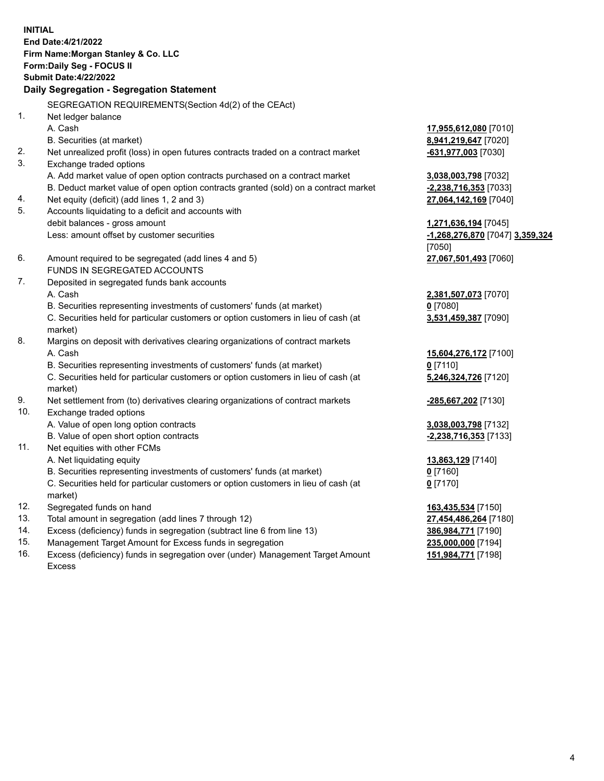**INITIAL End Date:4/21/2022 Firm Name:Morgan Stanley & Co. LLC Form:Daily Seg - FOCUS II Submit Date:4/22/2022 Daily Segregation - Segregation Statement** SEGREGATION REQUIREMENTS(Section 4d(2) of the CEAct) 1. Net ledger balance A. Cash **17,955,612,080** [7010] B. Securities (at market) **8,941,219,647** [7020] 2. Net unrealized profit (loss) in open futures contracts traded on a contract market **-631,977,003** [7030] 3. Exchange traded options A. Add market value of open option contracts purchased on a contract market **3,038,003,798** [7032] B. Deduct market value of open option contracts granted (sold) on a contract market **-2,238,716,353** [7033] 4. Net equity (deficit) (add lines 1, 2 and 3) **27,064,142,169** [7040] 5. Accounts liquidating to a deficit and accounts with debit balances - gross amount **1,271,636,194** [7045] Less: amount offset by customer securities **-1,268,276,870** [7047] **3,359,324** [7050] 6. Amount required to be segregated (add lines 4 and 5) **27,067,501,493** [7060] FUNDS IN SEGREGATED ACCOUNTS 7. Deposited in segregated funds bank accounts A. Cash **2,381,507,073** [7070] B. Securities representing investments of customers' funds (at market) **0** [7080] C. Securities held for particular customers or option customers in lieu of cash (at market) **3,531,459,387** [7090] 8. Margins on deposit with derivatives clearing organizations of contract markets A. Cash **15,604,276,172** [7100] B. Securities representing investments of customers' funds (at market) **0** [7110] C. Securities held for particular customers or option customers in lieu of cash (at market) **5,246,324,726** [7120] 9. Net settlement from (to) derivatives clearing organizations of contract markets **-285,667,202** [7130] 10. Exchange traded options A. Value of open long option contracts **3,038,003,798** [7132] B. Value of open short option contracts **-2,238,716,353** [7133] 11. Net equities with other FCMs A. Net liquidating equity **13,863,129** [7140] B. Securities representing investments of customers' funds (at market) **0** [7160] C. Securities held for particular customers or option customers in lieu of cash (at market) **0** [7170] 12. Segregated funds on hand **163,435,534** [7150] 13. Total amount in segregation (add lines 7 through 12) **27,454,486,264** [7180] 14. Excess (deficiency) funds in segregation (subtract line 6 from line 13) **386,984,771** [7190] 15. Management Target Amount for Excess funds in segregation **235,000,000** [7194]

16. Excess (deficiency) funds in segregation over (under) Management Target Amount Excess

**151,984,771** [7198]